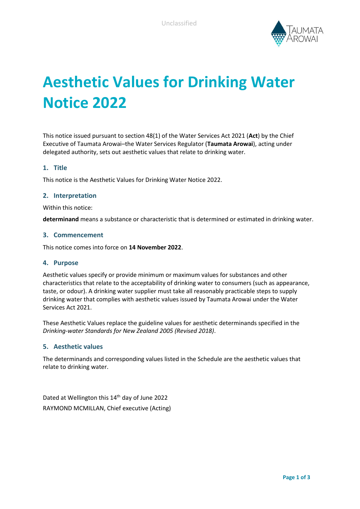

# **Aesthetic Values for Drinking Water Notice 2022**

This notice issued pursuant to section 48(1) of the Water Services Act 2021 (**Act**) by the Chief Executive of Taumata Arowai–the Water Services Regulator (**Taumata Arowai**), acting under delegated authority, sets out aesthetic values that relate to drinking water.

#### **1. Title**

This notice is the Aesthetic Values for Drinking Water Notice 2022.

#### **2. Interpretation**

Within this notice:

**determinand** means a substance or characteristic that is determined or estimated in drinking water.

#### **3. Commencement**

This notice comes into force on **14 November 2022**.

#### **4. Purpose**

Aesthetic values specify or provide minimum or maximum values for substances and other characteristics that relate to the acceptability of drinking water to consumers (such as appearance, taste, or odour). A drinking water supplier must take all reasonably practicable steps to supply drinking water that complies with aesthetic values issued by Taumata Arowai under the Water Services Act 2021.

These Aesthetic Values replace the guideline values for aesthetic determinands specified in the *Drinking-water Standards for New Zealand 2005 (Revised 2018)*.

#### **5. Aesthetic values**

The determinands and corresponding values listed in the Schedule are the aesthetic values that relate to drinking water.

Dated at Wellington this 14<sup>th</sup> day of June 2022 RAYMOND MCMILLAN, Chief executive (Acting)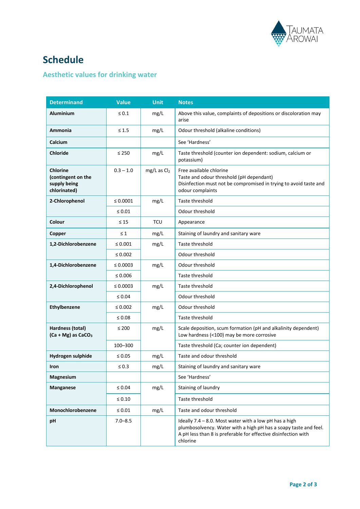

## **Schedule**

### **Aesthetic values for drinking water**

| <b>Determinand</b>                                                    | <b>Value</b>  | <b>Unit</b>     | <b>Notes</b>                                                                                                                                                                                             |
|-----------------------------------------------------------------------|---------------|-----------------|----------------------------------------------------------------------------------------------------------------------------------------------------------------------------------------------------------|
| <b>Aluminium</b>                                                      | $\leq 0.1$    | mg/L            | Above this value, complaints of depositions or discoloration may<br>arise                                                                                                                                |
| Ammonia                                                               | $\leq 1.5$    | mg/L            | Odour threshold (alkaline conditions)                                                                                                                                                                    |
| Calcium                                                               |               |                 | See 'Hardness'                                                                                                                                                                                           |
| <b>Chloride</b>                                                       | $\leq 250$    | mg/L            | Taste threshold (counter ion dependent: sodium, calcium or<br>potassium)                                                                                                                                 |
| <b>Chlorine</b><br>(contingent on the<br>supply being<br>chlorinated) | $0.3 - 1.0$   | $mg/L$ as $Cl2$ | Free available chlorine<br>Taste and odour threshold (pH dependant)<br>Disinfection must not be compromised in trying to avoid taste and<br>odour complaints                                             |
| 2-Chlorophenol                                                        | $\leq 0.0001$ | mg/L            | Taste threshold                                                                                                                                                                                          |
|                                                                       | $\leq 0.01$   |                 | Odour threshold                                                                                                                                                                                          |
| Colour                                                                | $\leq 15$     | <b>TCU</b>      | Appearance                                                                                                                                                                                               |
| Copper                                                                | $\leq 1$      | mg/L            | Staining of laundry and sanitary ware                                                                                                                                                                    |
| 1,2-Dichlorobenzene                                                   | $\leq 0.001$  | mg/L            | Taste threshold                                                                                                                                                                                          |
|                                                                       | $\leq 0.002$  |                 | Odour threshold                                                                                                                                                                                          |
| 1,4-Dichlorobenzene                                                   | $\leq 0.0003$ | mg/L            | Odour threshold                                                                                                                                                                                          |
|                                                                       | $\leq 0.006$  |                 | Taste threshold                                                                                                                                                                                          |
| 2,4-Dichlorophenol                                                    | $\leq 0.0003$ | mg/L            | Taste threshold                                                                                                                                                                                          |
|                                                                       | $\leq 0.04$   |                 | Odour threshold                                                                                                                                                                                          |
| Ethylbenzene                                                          | $\leq 0.002$  | mg/L            | Odour threshold                                                                                                                                                                                          |
|                                                                       | ≤ 0.08        |                 | Taste threshold                                                                                                                                                                                          |
| Hardness (total)<br>$(Ca + Mg)$ as $CaCO3$                            | $\leq 200$    | mg/L            | Scale deposition, scum formation (pH and alkalinity dependent)<br>Low hardness (<100) may be more corrosive                                                                                              |
|                                                                       | 100-300       |                 | Taste threshold (Ca; counter ion dependent)                                                                                                                                                              |
| Hydrogen sulphide                                                     | $\leq 0.05$   | mg/L            | Taste and odour threshold                                                                                                                                                                                |
| <b>Iron</b>                                                           | $\leq 0.3$    | mg/L            | Staining of laundry and sanitary ware                                                                                                                                                                    |
| Magnesium                                                             |               |                 | See 'Hardness'                                                                                                                                                                                           |
| <b>Manganese</b>                                                      | $\leq 0.04$   | mg/L            | Staining of laundry                                                                                                                                                                                      |
|                                                                       | $\leq 0.10$   |                 | Taste threshold                                                                                                                                                                                          |
| Monochlorobenzene                                                     | $\leq 0.01$   | mg/L            | Taste and odour threshold                                                                                                                                                                                |
| pH                                                                    | $7.0 - 8.5$   |                 | Ideally 7.4 - 8.0. Most water with a low pH has a high<br>plumbosolvency. Water with a high pH has a soapy taste and feel.<br>A pH less than 8 is preferable for effective disinfection with<br>chlorine |